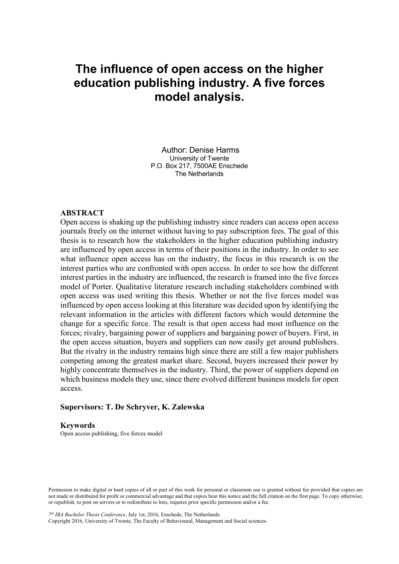# **The influence of open access on the higher education publishing industry. A five forces model analysis.**

Author: Denise Harms University of Twente P.O. Box 217, 7500AE Enschede The Netherlands

## **ABSTRACT**

Open access is shaking up the publishing industry since readers can access open access journals freely on the internet without having to pay subscription fees. The goal of this thesis is to research how the stakeholders in the higher education publishing industry are influenced by open access in terms of their positions in the industry. In order to see what influence open access has on the industry, the focus in this research is on the interest parties who are confronted with open access. In order to see how the different interest parties in the industry are influenced, the research is framed into the five forces model of Porter. Qualitative literature research including stakeholders combined with open access was used writing this thesis. Whether or not the five forces model was influenced by open access looking at this literature was decided upon by identifying the relevant information in the articles with different factors which would determine the change for a specific force. The result is that open access had most influence on the forces; rivalry, bargaining power of suppliers and bargaining power of buyers. First, in the open access situation, buyers and suppliers can now easily get around publishers. But the rivalry in the industry remains high since there are still a few major publishers competing among the greatest market share. Second, buyers increased their power by highly concentrate themselves in the industry. Third, the power of suppliers depend on which business models they use, since there evolved different business models for open access.

# **Supervisors: T. De Schryver, K. Zalewska**

#### **Keywords**

Open access publishing, five forces model

Permission to make digital or hard copies of all or part of this work for personal or classroom use is granted without fee provided that copies are not made or distributed for profit or commercial advantage and that copies bear this notice and the full citation on the first page. To copy otherwise, or republish, to post on servers or to redistribute to lists, requires prior specific permission and/or a fee.

*7 th IBA Bachelor Thesis Conference*, July 1st, 2016, Enschede, The Netherlands.

Copyright 2016, University of Twente, The Faculty of Behavioural, Management and Social sciences.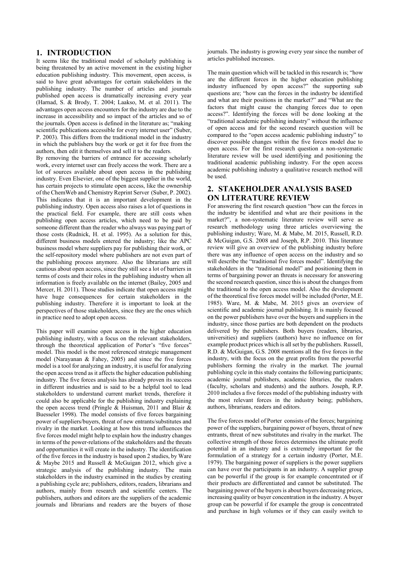## **1. INTRODUCTION**

It seems like the traditional model of scholarly publishing is being threatened by an active movement in the existing higher education publishing industry. This movement, open access, is said to have great advantages for certain stakeholders in the publishing industry. The number of articles and journals published open access is dramatically increasing every year (Harnad, S. & Brody, T. 2004; Laakso, M. et al. 2011). The advantages open access encounters for the industry are due to the increase in accessibility and so impact of the articles and so of the journals. Open access is defined in the literature as; "making scientific publications accessible for every internet user" (Suber, P. 2003). This differs from the traditional model in the industry in which the publishers buy the work or get it for free from the authors, then edit it themselves and sell it to the readers.

By removing the barriers of entrance for accessing scholarly work, every internet user can freely access the work. There are a lot of sources available about open access in the publishing industry. Even Elsevier, one of the biggest supplier in the world, has certain projects to stimulate open access, like the ownership of the ChemWeb and Chemistry Reprint Server (Suber, P. 2002). This indicates that it is an important development in the publishing industry. Open access also raises a lot of questions in the practical field. For example, there are still costs when publishing open access articles, which need to be paid by someone different than the reader who always was paying part of those costs (Rudnick, H. et al. 1995). As a solution for this, different business models entered the industry; like the APC business model where suppliers pay for publishing their work, or the self-repository model where publishers are not even part of the publishing process anymore. Also the librarians are still cautious about open access, since they still see a lot of barriers in terms of costs and their roles in the publishing industry when all information is freely available on the internet (Bailey, 2005 and Mercer, H. 2011). Those studies indicate that open access might have huge consequences for certain stakeholders in the publishing industry. Therefore it is important to look at the perspectives of those stakeholders, since they are the ones which in practice need to adopt open access.

This paper will examine open access in the higher education publishing industry, with a focus on the relevant stakeholders, through the theoretical application of Porter's "five forces" model. This model is the most referenced strategic management model (Narayanan & Fahey, 2005) and since the five forces model is a tool for analyzing an industry, it is useful for analyzing the open access trend as it affects the higher education publishing industry. The five forces analysis has already proven its success in different industries and is said to be a helpful tool to lead stakeholders to understand current market trends, therefore it could also be applicable for the publishing industry explaining the open access trend (Pringle & Huisman, 2011 and Blair & Buesseler 1998). The model consists of five forces bargaining power of suppliers/buyers, threat of new entrants/substitutes and rivalry in the market. Looking at how this trend influences the five forces model might help to explain how the industry changes in terms of the power-relations of the stakeholders and the threats and opportunities it will create in the industry. The identification of the five forces in the industry is based upon 2 studies, by Ware & Maybe 2015 and Russell & McGuigan 2012, which give a strategic analysis of the publishing industry. The main stakeholders in the industry examined in the studies by creating a publishing cycle are; publishers, editors, readers, librarians and authors, mainly from research and scientific centers. The publishers, authors and editors are the suppliers of the academic journals and librarians and readers are the buyers of those

journals. The industry is growing every year since the number of articles published increases.

The main question which will be tackled in this research is; "how are the different forces in the higher education publishing industry influenced by open access?" the supporting sub questions are; "how can the forces in the industry be identified and what are their positions in the market?" and "What are the factors that might cause the changing forces due to open access?". Identifying the forces will be done looking at the "traditional academic publishing industry" without the influence of open access and for the second research question will be compared to the "open access academic publishing industry" to discover possible changes within the five forces model due to open access. For the first research question a non-systematic literature review will be used identifying and positioning the traditional academic publishing industry. For the open access academic publishing industry a qualitative research method will be used.

# **2. STAKEHOLDER ANALYSIS BASED ON LITERATURE REVIEW**

For answering the first research question "how can the forces in the industry be identified and what are their positions in the market?", a non-systematic literature review will serve as research methodology using three articles overviewing the publishing industry; Ware, M. & Mabe, M. 2015, Russell, R.D. & McGuigan, G.S. 2008 and Joseph, R.P. 2010. This literature review will give an overview of the publishing industry before there was any influence of open access on the industry and so will describe the "traditional five forces model". Identifying the stakeholders in the "traditional model" and positioning them in terms of bargaining power an threats is necessary for answering the second research question, since this is about the changes from the traditional to the open access model. Also the development of the theoretical five forces model will be included (Porter, M.E. 1985). Ware, M. & Mabe, M. 2015 gives an overview of scientific and academic journal publishing. It is mainly focused on the power publishers have over the buyers and suppliers in the industry, since those parties are both dependent on the products delivered by the publishers. Both buyers (readers, libraries, universities) and suppliers (authors) have no influence on for example product prices which is all set by the publishers. Russell, R.D. & McGuigan, G.S. 2008 mentions all the five forces in the industry, with the focus on the great profits from the powerful publishers forming the rivalry in the market. The journal publishing cycle in this study contains the following participants; academic journal publishers, academic libraries, the readers (faculty, scholars and students) and the authors. Joseph, R.P. 2010 includes a five forces model of the publishing industry with the most relevant forces in the industry being; publishers, authors, librarians, readers and editors.

The five forces model of Porter consists of the forces; bargaining power of the suppliers, bargaining power of buyers, threat of new entrants, threat of new substitutes and rivalry in the market. The collective strength of those forces determines the ultimate profit potential in an industry and is extremely important for the formulation of a strategy for a certain industry (Porter, M.E. 1979). The bargaining power of suppliers is the power suppliers can have over the participants in an industry. A supplier group can be powerful if the group is for example concentrated or if their products are differentiated and cannot be substituted. The bargaining power of the buyers is about buyers decreasing prices, increasing quality or buyer concentration in the industry. A buyer group can be powerful if for example the group is concentrated and purchase in high volumes or if they can easily switch to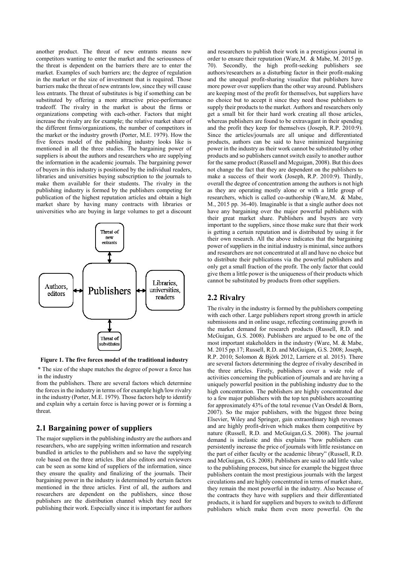another product. The threat of new entrants means new competitors wanting to enter the market and the seriousness of the threat is dependent on the barriers there are to enter the market. Examples of such barriers are; the degree of regulation in the market or the size of investment that is required. Those barriers make the threat of new entrants low, since they will cause less entrants. The threat of substitutes is big if something can be substituted by offering a more attractive price-performance tradeoff. The rivalry in the market is about the firms or organizations competing with each-other. Factors that might increase the rivalry are for example; the relative market share of the different firms/organizations, the number of competitors in the market or the industry growth (Porter, M.E. 1979). How the five forces model of the publishing industry looks like is mentioned in all the three studies. The bargaining power of suppliers is about the authors and researchers who are supplying the information in the academic journals. The bargaining power of buyers in this industry is positioned by the individual readers, libraries and universities buying subscription to the journals to make them available for their students. The rivalry in the publishing industry is formed by the publishers competing for publication of the highest reputation articles and obtain a high market share by having many contracts with libraries or universities who are buying in large volumes to get a discount



**Figure 1. The five forces model of the traditional industry**

\* The size of the shape matches the degree of power a force has in the industry

from the publishers. There are several factors which determine the forces in the industry in terms of for example high/low rivalry in the industry (Porter, M.E. 1979). Those factors help to identify and explain why a certain force is having power or is forming a threat.

# **2.1 Bargaining power of suppliers**

The major suppliers in the publishing industry are the authors and researchers, who are supplying written information and research bundled in articles to the publishers and so have the supplying role based on the three articles. But also editors and reviewers can be seen as some kind of suppliers of the information, since they ensure the quality and finalizing of the journals. Their bargaining power in the industry is determined by certain factors mentioned in the three articles. First of all, the authors and researchers are dependent on the publishers, since those publishers are the distribution channel which they need for publishing their work. Especially since it is important for authors

and researchers to publish their work in a prestigious journal in order to ensure their reputation (Ware,M. & Mabe, M. 2015 pp. 70). Secondly, the high profit-seeking publishers see authors/researchers as a disturbing factor in their profit-making and the unequal profit-sharing visualize that publishers have more power over suppliers than the other way around. Publishers are keeping most of the profit for themselves, but suppliers have no choice but to accept it since they need those publishers to supply their products to the market. Authors and researchers only get a small bit for their hard work creating all those articles, whereas publishers are found to be extravagant in their spending and the profit they keep for themselves (Joseph, R.P. 2010:9). Since the articles/journals are all unique and differentiated products, authors can be said to have minimized bargaining power in the industry as their work cannot be substituted by other products and so publishers cannot switch easily to another author for the same product (Russell and Mcguigan, 2008). But this does not change the fact that they are dependent on the publishers to make a success of their work (Joseph, R.P. 2010:9). Thirdly, overall the degree of concentration among the authors is not high as they are operating mostly alone or with a little group of researchers, which is called co-authorship (Ware,M. & Mabe, M., 2015 pp. 36-40). Imaginable is that a single author does not have any bargaining over the major powerful publishers with their great market share. Publishers and buyers are very important to the suppliers, since those make sure that their work is getting a certain reputation and is distributed by using it for their own research. All the above indicates that the bargaining power of suppliers in the initial industry is minimal, since authors and researchers are not concentrated at all and have no choice but to distribute their publications via the powerful publishers and only get a small fraction of the profit. The only factor that could give them a little power is the uniqueness of their products which cannot be substituted by products from other suppliers.

# **2.2 Rivalry**

The rivalry in the industry is formed by the publishers competing with each other. Large publishers report strong growth in article submissions and in online usage, reflecting continuing growth in the market demand for research products (Russell, R.D. and McGuigan, G.S. 2008). Publishers are argued to be one of the most important stakeholders in the industry (Ware, M. & Mabe, M. 2015 pp.17; Russell, R.D. and McGuigan, G.S. 2008; Joseph, R.P. 2010; Solomon & Björk 2012, Larriere et al. 2015). There are several factors determining the degree of rivalry described in the three articles. Firstly, publishers cover a wide role of activities concerning the publication of journals and are having a uniquely powerful position in the publishing industry due to the high concentration. The publishers are highly concentrated due to a few major publishers with the top ten publishers accounting for approximately 43% of the total revenue (Van Orsdel & Born, 2007). So the major publishers, with the biggest three being Elsevier, Wiley and Springer, gain extraordinary high revenues and are highly profit-driven which makes them competitive by nature (Russell, R.D. and McGuigan,G.S. 2008). The journal demand is inelastic and this explains "how publishers can persistently increase the price of journals with little resistance on the part of either faculty or the academic library" (Russell, R.D. and McGuigan, G.S. 2008). Publishers are said to add little value to the publishing process, but since for example the biggest three publishers contain the most prestigious journals with the largest circulations and are highly concentrated in terms of market share, they remain the most powerful in the industry. Also because of the contracts they have with suppliers and their differentiated products, it is hard for suppliers and buyers to switch to different publishers which make them even more powerful. On the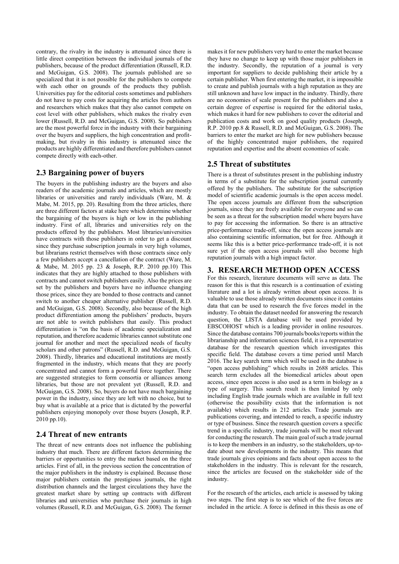contrary, the rivalry in the industry is attenuated since there is little direct competition between the individual journals of the publishers, because of the product differentiation (Russell, R.D. and McGuigan, G.S. 2008). The journals published are so specialized that it is not possible for the publishers to compete with each other on grounds of the products they publish. Universities pay for the editorial costs sometimes and publishers do not have to pay costs for acquiring the articles from authors and researchers which makes that they also cannot compete on cost level with other publishers, which makes the rivalry even lower (Russell, R.D. and McGuigan, G.S. 2008). So publishers are the most powerful force in the industry with their bargaining over the buyers and suppliers, the high concentration and profitmaking, but rivalry in this industry is attenuated since the products are highly differentiated and therefore publishers cannot compete directly with each-other.

# **2.3 Bargaining power of buyers**

The buyers in the publishing industry are the buyers and also readers of the academic journals and articles, which are mostly libraries or universities and rarely individuals (Ware, M. & Mabe, M. 2015, pp. 20). Resulting from the three articles, there are three different factors at stake here which determine whether the bargaining of the buyers is high or low in the publishing industry. First of all, libraries and universities rely on the products offered by the publishers. Most libraries/universities have contracts with those publishers in order to get a discount since they purchase subscription journals in very high volumes, but librarians restrict themselves with those contracts since only a few publishers accept a cancellation of the contract (Ware, M. & Mabe, M. 2015 pp. 23 & Joseph, R.P. 2010 pp.10) This indicates that they are highly attached to those publishers with contracts and cannot switch publishers easily. Also the prices are set by the publishers and buyers have no influence changing those prices, since they are bonded to those contracts and cannot switch to another cheaper alternative publisher (Russell, R.D. and McGuigan, G.S. 2008). Secondly, also because of the high product differentiation among the publishers' products, buyers are not able to switch publishers that easily. This product differentiation is "on the basis of academic specialization and reputation, and therefore academic libraries cannot substitute one journal for another and meet the specialized needs of faculty scholars and other patrons" (Russell, R.D. and McGuigan, G.S. 2008). Thirdly, libraries and educational institutions are mostly fragmented in the industry, which means that they are poorly concentrated and cannot form a powerful force together. There are suggested strategies to form consortia or alliances among libraries, but those are not prevalent yet (Russell, R.D. and McGuigan, G.S. 2008). So, buyers do not have much bargaining power in the industry, since they are left with no choice, but to buy what is available at a price that is dictated by the powerful publishers enjoying monopoly over those buyers (Joseph, R.P. 2010 pp.10).

# **2.4 Threat of new entrants**

The threat of new entrants does not influence the publishing industry that much. There are different factors determining the barriers or opportunities to entry the market based on the three articles. First of all, in the previous section the concentration of the major publishers in the industry is explained. Because those major publishers contain the prestigious journals, the right distribution channels and the largest circulations they have the greatest market share by setting up contracts with different libraries and universities who purchase their journals in high volumes (Russell, R.D. and McGuigan, G.S. 2008). The former makes it for new publishers very hard to enter the market because they have no change to keep up with those major publishers in the industry. Secondly, the reputation of a journal is very important for suppliers to decide publishing their article by a certain publisher. When first entering the market, it is impossible to create and publish journals with a high reputation as they are still unknown and have low impact in the industry. Thirdly, there are no economies of scale present for the publishers and also a certain degree of expertise is required for the editorial tasks, which makes it hard for new publishers to cover the editorial and publication costs and work on good quality products (Joseph, R.P. 2010 pp.8 & Russell, R.D. and McGuigan, G.S. 2008). The barriers to enter the market are high for new publishers because of the highly concentrated major publishers, the required reputation and expertise and the absent economies of scale.

# **2.5 Threat of substitutes**

There is a threat of substitutes present in the publishing industry in terms of a substitute for the subscription journal currently offered by the publishers. The substitute for the subscription model of scientific academic journals is the open access model. The open access journals are different from the subscription journals, since they are freely available for everyone and so can be seen as a threat for the subscription model where buyers have to pay for accessing the information. So there is an attractive price-performance trade-off, since the open access journals are also containing scientific information, but for free. Although it seems like this is a better price-performance trade-off, it is not sure yet if the open access journals will also become high reputation journals with a high impact factor.

## **3. RESEARCH METHOD OPEN ACCESS**

For this research, literature documents will serve as data. The reason for this is that this research is a continuation of existing literature and a lot is already written about open access. It is valuable to use those already written documents since it contains data that can be used to research the five forces model in the industry. To obtain the dataset needed for answering the research question, the LISTA database will be used provided by EBSCOHOST which is a leading provider in online resources. Since the database contains 700 journals/books/reports within the librarianship and information sciences field, it is a representative database for the research question which investigates this specific field. The database covers a time period until March 2016. The key search term which will be used in the database is "open access publishing" which results in 2688 articles. This search term excludes all the biomedical articles about open access, since open access is also used as a term in biology as a type of surgery. This search result is then limited by only including English trade journals which are available in full text (otherwise the possibility exists that the information is not available) which results in 212 articles. Trade journals are publications covering, and intended to reach, a specific industry or type of business. Since the research question covers a specific trend in a specific industry, trade journals will be most relevant for conducting the research. The main goal of such a trade journal is to keep the members in an industry, so the stakeholders, up-todate about new developments in the industry. This means that trade journals gives opinions and facts about open access to the stakeholders in the industry. This is relevant for the research, since the articles are focused on the stakeholder side of the industry.

For the research of the articles, each article is assessed by taking two steps. The first step is to see which of the five forces are included in the article. A force is defined in this thesis as one of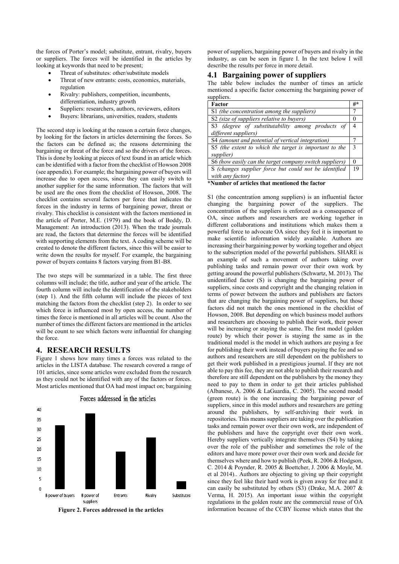the forces of Porter's model; substitute, entrant, rivalry, buyers or suppliers. The forces will be identified in the articles by looking at keywords that need to be present;

- Threat of substitutes: other/substitute models
- Threat of new entrants: costs, economics, materials, regulation
- Rivalry: publishers, competition, incumbents, differentiation, industry growth
- Suppliers: researchers, authors, reviewers, editors
- Buyers: librarians, universities, readers, students

The second step is looking at the reason a certain force changes, by looking for the factors in articles determining the forces. So the factors can be defined as; the reasons determining the bargaining or threat of the force and so the drivers of the forces. This is done by looking at pieces of text found in an article which can be identified with a factor from the checklist of Howson 2008 (see appendix). For example; the bargaining power of buyers will increase due to open access, since they can easily switch to another supplier for the same information. The factors that will be used are the ones from the checklist of Howson, 2008. The checklist contains several factors per force that indicates the forces in the industry in terms of bargaining power, threat or rivalry. This checklist is consistent with the factors mentioned in the article of Porter, M.E. (1979) and the book of Boddy, D. Management: An introduction (2013). When the trade journals are read, the factors that determine the forces will be identified with supporting elements from the text. A coding scheme will be created to denote the different factors, since this will be easier to write down the results for myself. For example, the bargaining power of buyers contains 8 factors varying from B1-B8.

The two steps will be summarized in a table. The first three columns will include; the title, author and year of the article. The fourth column will include the identification of the stakeholders (step 1). And the fifth column will include the pieces of text matching the factors from the checklist (step 2). In order to see which force is influenced most by open access, the number of times the force is mentioned in all articles will be count. Also the number of times the different factors are mentioned in the articles will be count to see which factors were influential for changing the force.

#### **4. RESEARCH RESULTS**

Figure 1 shows how many times a forces was related to the articles in the LISTA database. The research covered a range of 101 articles, since some articles were excluded from the research as they could not be identified with any of the factors or forces. Most articles mentioned that OA had most impact on; bargaining





power of suppliers, bargaining power of buyers and rivalry in the industry, as can be seen in figure I. In the text below I will describe the results per force in more detail.

## **4.1 Bargaining power of suppliers**

The table below includes the number of times an article mentioned a specific factor concerning the bargaining power of suppliers.

| Factor                                                  | #*           |  |  |  |  |
|---------------------------------------------------------|--------------|--|--|--|--|
| S1 (the concentration among the suppliers)              |              |  |  |  |  |
| S2 (size of suppliers relative to buyers)               |              |  |  |  |  |
| S3 (degree of substitutability among products of        |              |  |  |  |  |
| different suppliers)                                    |              |  |  |  |  |
| S4 (amount and potential of vertical integration)       |              |  |  |  |  |
| S5 (the extent to which the target is important to the  |              |  |  |  |  |
| supplier)                                               |              |  |  |  |  |
| S6 (how easily can the target company switch suppliers) | $\mathbf{0}$ |  |  |  |  |
| S (changes supplier force but could not be identified   | 19           |  |  |  |  |
| with any factor)                                        |              |  |  |  |  |
| *Number of articles that mentioned the factor           |              |  |  |  |  |

S1 (the concentration among suppliers) is an influential factor changing the bargaining power of the suppliers. The concentration of the suppliers is enforced as a consequence of OA, since authors and researchers are working together in different collaborations and institutions which makes them a powerful force to advocate OA since they feel it is important to make scientific information widely available. Authors are increasing their bargaining power by working together and object to the subscription model of the powerful publishers. SHARE is an example of such a movement of authors taking over publishing tasks and remain power over their own work by getting around the powerful publishers (Schwartz, M. 2013). The unidentified factor (S) is changing the bargaining power of suppliers, since costs and copyright and the changing relation in terms of power between the authors and publishers are factors that are changing the bargaining power of suppliers, but those factors did not match the ones mentioned in the checklist of Howson, 2008. But depending on which business model authors and researchers are choosing to publish their work, their power will be increasing or staying the same. The first model (golden route) by which their power is staying the same as in the traditional model is the model in which authors are paying a fee for publishing their work instead of buyers paying the fee and so authors and researchers are still dependent on the publishers to get their work published in a prestigious journal. If they are not able to pay this fee, they are not able to publish their research and therefore are still dependent on the publishers by the money they need to pay to them in order to get their articles published (Albanese, A. 2006 & LaGuardia, C. 2005). The second model (green route) is the one increasing the bargaining power of suppliers, since in this model authors and researchers are getting around the publishers, by self-archiving their work in repositories. This means suppliers are taking over the publication tasks and remain power over their own work, are independent of the publishers and have the copyright over their own work. Hereby suppliers vertically integrate themselves (S4) by taking over the role of the publisher and sometimes the role of the editors and have more power over their own work and decide for themselves where and how to publish (Peek, R. 2006 & Hodgson, C. 2014 & Poynder, R. 2005 & Boettcher, J. 2006 & Moyle, M. et al 2014).. Authors are objecting to giving up their copyright since they feel like their hard work is given away for free and it can easily be substituted by others (S3) (Drake, M.A. 2007 & Verma, H. 2015). An important issue within the copyright regulations in the golden route are the commercial reuse of OA **Figure 2. Forces addressed in the articles** information because of the CCBY license which states that the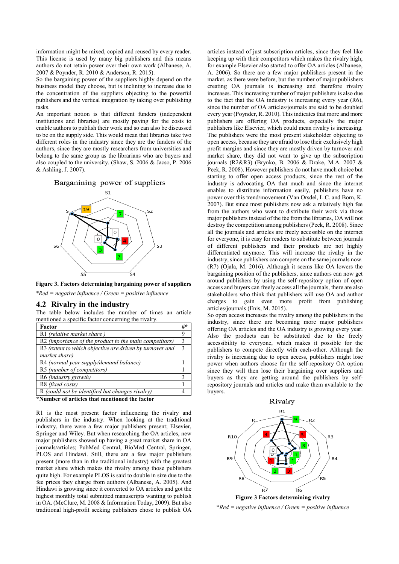information might be mixed, copied and reused by every reader. This license is used by many big publishers and this means authors do not retain power over their own work (Albanese, A. 2007 & Poynder, R. 2010 & Anderson, R. 2015).

So the bargaining power of the suppliers highly depend on the business model they choose, but is inclining to increase due to the concentration of the suppliers objecting to the powerful publishers and the vertical integration by taking over publishing tasks.

An important notion is that different funders (independent institutions and libraries) are mostly paying for the costs to enable authors to publish their work and so can also be discussed to be on the supply side. This would mean that libraries take two different roles in the industry since they are the funders of the authors, since they are mostly researchers from universities and belong to the same group as the librarians who are buyers and also coupled to the university. (Shaw, S. 2006 & Jacso, P. 2006 & Ashling, J. 2007).

Barganining power of suppliers



**Figure 3. Factors determining bargaining power of suppliers** *\*Red = negative influence / Green = positive influence*

#### **4.2 Rivalry in the industry**

The table below includes the number of times an article mentioned a specific factor concerning the rivalry.

| Factor                                                   | #*            |
|----------------------------------------------------------|---------------|
| R1 (relative market share)                               | 9             |
| R2 (importance of the product to the main competitors)   | 3             |
| R3 (extent to which objective are driven by turnover and | $\mathcal{E}$ |
| market share)                                            |               |
| R4 (normal year supply/demand balance)                   |               |
| R5 (number of competitors)                               |               |
| R6 (industry growth)                                     |               |
| R8 (fixed costs)                                         |               |
| R (could not be identified but changes rivalry)          |               |

**\*Number of articles that mentioned the factor**

R1 is the most present factor influencing the rivalry and publishers in the industry. When looking at the traditional industry, there were a few major publishers present; Elsevier, Springer and Wiley. But when researching the OA articles, new major publishers showed up having a great market share in OA journals/articles; PubMed Central, BioMed Central, Springer, PLOS and Hindawi. Still, there are a few major publishers present (more than in the traditional industry) with the greatest market share which makes the rivalry among those publishers quite high. For example PLOS is said to double in size due to the fee prices they charge from authors (Albanese, A. 2005). And Hindawi is growing since it converted to OA articles and got the highest monthly total submitted manuscripts wanting to publish in OA. (McClure, M. 2008 & Information Today, 2009). But also traditional high-profit seeking publishers chose to publish OA

articles instead of just subscription articles, since they feel like keeping up with their competitors which makes the rivalry high; for example Elsevier also started to offer OA articles (Albanese, A. 2006). So there are a few major publishers present in the market, as there were before, but the number of major publishers creating OA journals is increasing and therefore rivalry increases. This increasing number of major publishers is also due to the fact that the OA industry is increasing every year  $(R6)$ , since the number of OA articles/journals are said to be doubled every year (Poynder, R. 2010). This indicates that more and more publishers are offering OA products, especially the major publishers like Elsevier, which could mean rivalry is increasing. The publishers were the most present stakeholder objecting to open access, because they are afraid to lose their exclusively high profit margins and since they are mostly driven by turnover and market share, they did not want to give up the subscription journals (R2&R3) (Brynko, B. 2006 & Drake, M.A. 2007 & Peek, R. 2008). However publishers do not have much choice but starting to offer open access products, since the rest of the industry is advocating OA that much and since the internet enables to distribute information easily, publishers have no power over this trend/movement (Van Orsdel, L.C. and Born, K. 2007). But since most publishers now ask a relatively high fee from the authors who want to distribute their work via those major publishers instead of the fee from the libraries, OA will not destroy the competition among publishers (Peek, R. 2008). Since all the journals and articles are freely accessible on the internet for everyone, it is easy for readers to substitute between journals of different publishers and their products are not highly differentiated anymore. This will increase the rivalry in the industry, since publishers can compete on the same journals now. (R7) (Ojala, M. 2016). Although it seems like OA lowers the bargaining position of the publishers, since authors can now get around publishers by using the self-repository option of open access and buyers can freely access all the journals, there are also stakeholders who think that publishers will use OA and author charges to gain even more profit from publishing articles/journals (Enis, M. 2015).

So open access increases the rivalry among the publishers in the industry, since there are becoming more major publishers offering OA articles and the OA industry is growing every year. Also the products can be substituted due to the freely accessibility to everyone, which makes it possible for the publishers to compete directly with each-other. Although the rivalry is increasing due to open access, publishers might lose power when authors choose for the self-repository OA option since they will then lose their bargaining over suppliers and buyers as they are getting around the publishers by selfrepository journals and articles and make them available to the buyers.



\**Red = negative influence / Green = positive influence*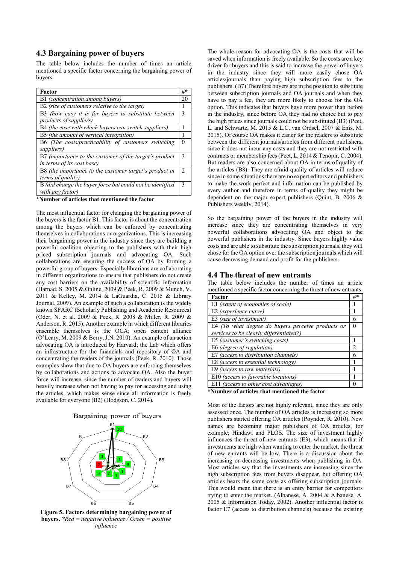# **4.3 Bargaining power of buyers**

The table below includes the number of times an article mentioned a specific factor concerning the bargaining power of buyers.

| Factor                                                    | #* |  |  |  |
|-----------------------------------------------------------|----|--|--|--|
| B1 (concentration among buyers)                           | 20 |  |  |  |
| B2 (size of customers relative to the target)             | 1  |  |  |  |
| B3 (how easy it is for buyers to substitute between       |    |  |  |  |
| <i>products of suppliers</i> )                            |    |  |  |  |
| B4 (the ease with which buyers can switch suppliers)      |    |  |  |  |
| B5 (the amount of vertical integration)                   |    |  |  |  |
| B6 (The costs/practicability of customers switching       |    |  |  |  |
| suppliers)                                                |    |  |  |  |
| B7 (importance to the customer of the target's product    | 3  |  |  |  |
| in terms of its cost base)                                |    |  |  |  |
| B8 (the importance to the customer target's product in    | 2  |  |  |  |
| <i>terms of quality</i> )                                 |    |  |  |  |
| B (did change the buyer force but could not be identified | 3  |  |  |  |
| with any factor)                                          |    |  |  |  |

**\*Number of articles that mentioned the factor**

The most influential factor for changing the bargaining power of the buyers is the factor B1. This factor is about the concentration among the buyers which can be enforced by concentrating themselves in collaborations or organizations. This is increasing their bargaining power in the industry since they are building a powerful coalition objecting to the publishers with their high priced subscription journals and advocating OA. Such collaborations are ensuring the success of OA by forming a powerful group of buyers. Especially librarians are collaborating in different organizations to ensure that publishers do not create any cost barriers on the availability of scientific information (Harnad, S. 2005 & Online, 2009 & Peek, R. 2009 & Munch, V. 2011 & Kelley, M. 2014 & LaGuardia, C. 2015 & Library Journal, 2009). An example of such a collaboration is the widely known SPARC (Scholarly Publishing and Academic Resources) (Oder, N. et al. 2009 & Peek, R. 2008 & Miller, R. 2009 & Anderson, R. 2015). Another example in which different libraries ensemble themselves is the OCA; open content alliance (O'Leary, M. 2009 & Berry, J.N. 2010). An example of an action advocating OA is introduced by Harvard; the Lab which offers an infrastructure for the financials and repository of OA and concentrating the readers of the journals (Peek, R. 2010). Those examples show that due to OA buyers are enforcing themselves by collaborations and actions to advocate OA. Also the buyer force will increase, since the number of readers and buyers will heavily increase when not having to pay for accessing and using the articles, which makes sense since all information is freely available for everyone (B2) (Hodgson, C. 2014).





**buyers.** *\*Red = negative influence / Green = positive influence*

The whole reason for advocating OA is the costs that will be saved when information is freely available. So the costs are a key driver for buyers and this is said to increase the power of buyers in the industry since they will more easily chose OA articles/journals than paying high subscription fees to the publishers. (B7) Therefore buyers are in the position to substitute between subscription journals and OA journals and when they have to pay a fee, they are more likely to choose for the OA option. This indicates that buyers have more power than before in the industry, since before OA they had no choice but to pay the high prices since journals could not be substituted (B3) (Peet, L. and Schwartz, M. 2015 & L.C. van Ordsel, 2007 & Enis, M. 2015). Of course OA makes it easier for the readers to substitute between the different journals/articles from different publishers, since it does not incur any costs and they are not restricted with contracts or membership fees (Peet, L. 2014 & Tenopir, C. 2004). But readers are also concerned about OA in terms of quality of the articles (B8). They are afraid quality of articles will reduce since in some situations there are no expert editors and publishers to make the work perfect and information can be published by every author and therefore in terms of quality they might be dependent on the major expert publishers (Quint, B. 2006 & Publishers weekly, 2014).

So the bargaining power of the buyers in the industry will increase since they are concentrating themselves in very powerful collaborations advocating OA and object to the powerful publishers in the industry. Since buyers highly value costs and are able to substitute the subscription journals, they will chose for the OA option over the subscription journals which will cause decreasing demand and profit for the publishers.

### **4.4 The threat of new entrants**

The table below includes the number of times an article mentioned a specific factor concerning the threat of new entrants.

| Factor                                                   | #* |  |  |  |  |
|----------------------------------------------------------|----|--|--|--|--|
| E1 (extent of economies of scale)                        |    |  |  |  |  |
| E2 (experience curve)                                    |    |  |  |  |  |
| E3 (size of investment)                                  | 6  |  |  |  |  |
| E4 (To what degree do buyers perceive products or        | 0  |  |  |  |  |
| services to be clearly differentiated?)                  |    |  |  |  |  |
| E5 (customer's switching costs)                          |    |  |  |  |  |
| E6 (degree of regulation)                                | 2  |  |  |  |  |
| E7 (access to distribution channels)                     | 6  |  |  |  |  |
| E8 (access to essential technology)                      |    |  |  |  |  |
| E9 (access to raw materials)                             |    |  |  |  |  |
| E10 (access to favorable locations)                      |    |  |  |  |  |
| E11 (access to other cost advantages)                    |    |  |  |  |  |
| 4 Martin Louis Count along the transaction of the County |    |  |  |  |  |

**\*Number of articles that mentioned the factor**

Most of the factors are not highly relevant, since they are only assessed once. The number of OA articles is increasing so more publishers started offering OA articles (Poynder, R. 2010). New names are becoming major publishers of OA articles, for example; Hindawi and PLOS. The size of investment highly influences the threat of new entrants (E3), which means that if investments are high when wanting to enter the market, the threat of new entrants will be low. There is a discussion about the increasing or decreasing investments when publishing in OA. Most articles say that the investments are increasing since the high subscription fees from buyers disappear, but offering OA articles bears the same costs as offering subscription journals. This would mean that there is an entry barrier for competitors trying to enter the market. (Albanese, A. 2004 & Albanese, A. 2005 & Information Today, 2002). Another influential factor is **Figure 5. Factors determining bargaining power of Figure 5. Factor E7** (access to distribution channels) because the existing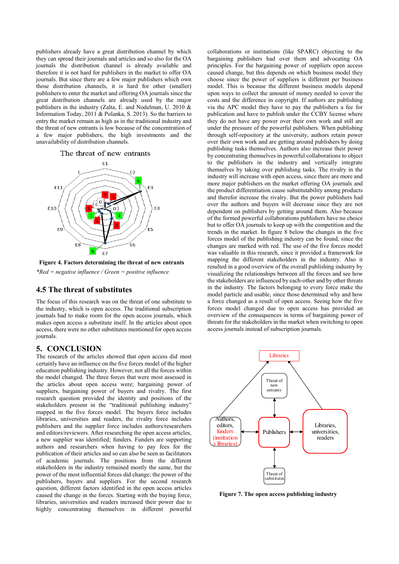publishers already have a great distribution channel by which they can spread their journals and articles and so also for the OA journals the distribution channel is already available and therefore it is not hard for publishers in the market to offer OA journals. But since there are a few major publishers which own those distribution channels, it is hard for other (smaller) publishers to enter the market and offering OA journals since the great distribution channels are already used by the major publishers in the industry (Zalta, E. and Nodelman, U. 2010 & Information Today, 2011 & Polanka, S. 2013). So the barriers to entry the market remain as high as in the traditional industry and the threat of new entrants is low because of the concentration of a few major publishers, the high investments and the unavailability of distribution channels.

#### The threat of new entrants



**Figure 4. Factors determining the threat of new entrants** *\*Red = negative influence / Green = positive influence*

## **4.5 The threat of substitutes**

The focus of this research was on the threat of one substitute to the industry, which is open access. The traditional subscription journals had to make room for the open access journals, which makes open access a substitute itself. In the articles about open access, there were no other substitutes mentioned for open access journals.

## **5. CONCLUSION**

The research of the articles showed that open access did most certainly have an influence on the five forces model of the higher education publishing industry. However, not all the forces within the model changed. The three forces that were most assessed in the articles about open access were; bargaining power of suppliers, bargaining power of buyers and rivalry. The first research question provided the identity and positions of the stakeholders present in the "traditional publishing industry" mapped in the five forces model. The buyers force includes libraries, universities and readers, the rivalry force includes publishers and the supplier force includes authors/researchers and editors/reviewers. After researching the open access articles, a new supplier was identified; funders. Funders are supporting authors and researchers when having to pay fees for the publication of their articles and so can also be seen as facilitators of academic journals. The positions from the different stakeholders in the industry remained mostly the same, but the power of the most influential forces did change; the power of the publishers, buyers and suppliers. For the second research question, different factors identified in the open access articles caused the change in the forces. Starting with the buying force, libraries, universities and readers increased their power due to highly concentrating themselves in different powerful

collaborations or institutions (like SPARC) objecting to the bargaining publishers had over them and advocating OA principles. For the bargaining power of suppliers open access caused change, but this depends on which business model they choose since the power of suppliers is different per business model. This is because the different business models depend upon ways to collect the amount of money needed to cover the costs and the difference in copyright. If authors are publishing via the APC model they have to pay the publishers a fee for publication and have to publish under the CCBY license where they do not have any power over their own work and still are under the pressure of the powerful publishers. When publishing through self-repository at the university, authors retain power over their own work and are getting around publishers by doing publishing tasks themselves. Authors also increase their power by concentrating themselves in powerful collaborations to object to the publishers in the industry and vertically integrate themselves by taking over publishing tasks. The rivalry in the industry will increase with open access, since there are more and more major publishers on the market offering OA journals and the product differentiation cause substitutability among products and therefor increase the rivalry. But the power publishers had over the authors and buyers will decrease since they are not dependent on publishers by getting around them. Also because of the formed powerful collaborations publishers have no choice but to offer OA journals to keep up with the competition and the trends in the market. In figure 8 below the changes in the five forces model of the publishing industry can be found, since the changes are marked with red. The use of the five forces model was valuable in this research, since it provided a framework for mapping the different stakeholders in the industry. Also it resulted in a good overview of the overall publishing industry by visualizing the relationships between all the forces and see how the stakeholders are influenced by each-other and by other threats in the industry. The factors belonging to every force make the model particle and usable, since those determined why and how a force changed as a result of open access. Seeing how the five forces model changed due to open access has provided an overview of the consequences in terms of bargaining power of threats for the stakeholders in the market when switching to open access journals instead of subscription journals.



**Figure 7. The open access publishing industry**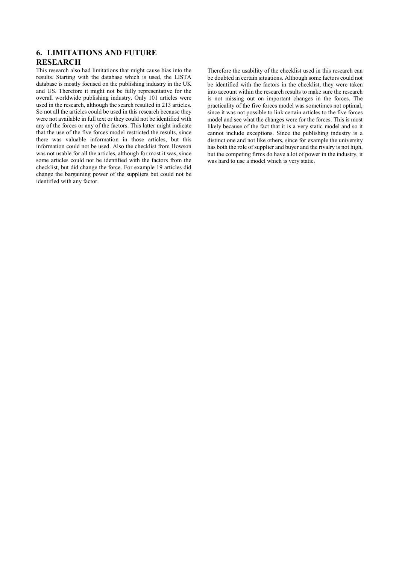# **6. LIMITATIONS AND FUTURE RESEARCH**

This research also had limitations that might cause bias into the results. Starting with the database which is used, the LISTA database is mostly focused on the publishing industry in the UK and US. Therefore it might not be fully representative for the overall worldwide publishing industry. Only 101 articles were used in the research, although the search resulted in 213 articles. So not all the articles could be used in this research because they were not available in full text or they could not be identified with any of the forces or any of the factors. This latter might indicate that the use of the five forces model restricted the results, since there was valuable information in those articles, but this information could not be used. Also the checklist from Howson was not usable for all the articles, although for most it was, since some articles could not be identified with the factors from the checklist, but did change the force. For example 19 articles did change the bargaining power of the suppliers but could not be identified with any factor.

Therefore the usability of the checklist used in this research can be doubted in certain situations. Although some factors could not be identified with the factors in the checklist, they were taken into account within the research results to make sure the research is not missing out on important changes in the forces. The practicality of the five forces model was sometimes not optimal, since it was not possible to link certain articles to the five forces model and see what the changes were for the forces. This is most likely because of the fact that it is a very static model and so it cannot include exceptions. Since the publishing industry is a distinct one and not like others, since for example the university has both the role of supplier and buyer and the rivalry is not high, but the competing firms do have a lot of power in the industry, it was hard to use a model which is very static.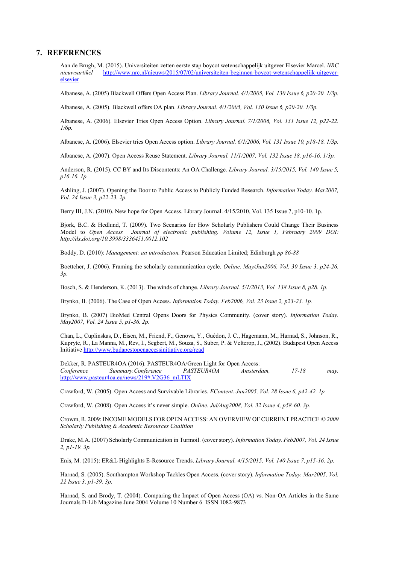## **7. REFERENCES**

Aan de Brugh, M. (2015). Universiteiten zetten eerste stap boycot wetenschappelijk uitgever Elsevier Marcel. *NRC nieuwsartikel* [http://www.nrc.nl/nieuws/2015/07/02/universiteiten-beginnen-boycot-wetenschappelijk-uitgever](http://www.nrc.nl/nieuws/2015/07/02/universiteiten-beginnen-boycot-wetenschappelijk-uitgever-elsevier)[elsevier](http://www.nrc.nl/nieuws/2015/07/02/universiteiten-beginnen-boycot-wetenschappelijk-uitgever-elsevier)

Albanese, A. (2005) Blackwell Offers Open Access Plan. *Library Journal. 4/1/2005, Vol. 130 Issue 6, p20-20. 1/3p.*

Albanese, A. (2005). Blackwell offers OA plan. *Library Journal. 4/1/2005, Vol. 130 Issue 6, p20-20. 1/3p.*

Albanese, A. (2006). Elsevier Tries Open Access Option. *Library Journal. 7/1/2006, Vol. 131 Issue 12, p22-22. 1/6p.*

Albanese, A. (2006). Elsevier tries Open Access option. *Library Journal. 6/1/2006, Vol. 131 Issue 10, p18-18. 1/3p.*

Albanese, A. (2007). Open Access Reuse Statement. *Library Journal. 11/1/2007, Vol. 132 Issue 18, p16-16. 1/3p.*

Anderson, R. (2015). CC BY and Its Discontents: An OA Challenge. *Library Journal. 3/15/2015, Vol. 140 Issue 5, p16-16. 1p.*

Ashling, J. (2007). Opening the Door to Public Access to Publicly Funded Research. *Information Today. Mar2007, Vol. 24 Issue 3, p22-23. 2p.* 

Berry III, J.N. (2010). New hope for Open Access. Library Journal. 4/15/2010, Vol. 135 Issue 7, p10-10. 1p.

Bjork, B.C. & Hedlund, T. (2009). Two Scenarios for How Scholarly Publishers Could Change Their Business Model to *Open Access Journal of electronic publishing. Volume 12, Issue 1, February 2009 DOI: http://dx.doi.org/10.3998/3336451.0012.102*

Boddy, D. (2010): *Management: an introduction.* Pearson Education Limited; Edinburgh *pp 86-88*

Boettcher, J. (2006). Framing the scholarly communication cycle. *Online. May/Jun2006, Vol. 30 Issue 3, p24-26. 3p.*

Bosch, S. & Henderson, K. (2013). The winds of change. *Library Journal. 5/1/2013, Vol. 138 Issue 8, p28. 1p.*

Brynko, B. (2006). The Case of Open Access. *Information Today. Feb2006, Vol. 23 Issue 2, p23-23. 1p.*

Brynko, B. (2007) BioMed Central Opens Doors for Physics Community. (cover story). *Information Today. May2007, Vol. 24 Issue 5, p1-36. 2p.* 

Chan, L., Cuplinskas, D., Eisen, M., Friend, F., Genova, Y., Guédon, J. C., Hagemann, M., Harnad, S., Johnson, R., Kupryte, R., La Manna, M., Rev, I., Segbert, M., Souza, S., Suber, P. & Velterop, J., (2002). Budapest Open Access Initiativ[e http://www.budapestopenaccessinitiative.org/read](http://www.budapestopenaccessinitiative.org/read)

Dekker, R. PASTEUR4OA (2016). PASTEUR4OA/Green Light for Open Access: *Conference Summary.Conference PASTEUR4OA Amsterdam, 17-18 may.*  [http://www.pasteur4oa.eu/news/219#.V2G36\\_mLTIX](http://www.pasteur4oa.eu/news/219#.V2G36_mLTIX)

Crawford, W. (2005). Open Access and Survivable Libraries. *EContent. Jun2005, Vol. 28 Issue 6, p42-42. 1p.*

Crawford, W. (2008). Open Access it's never simple. *Online. Jul/Aug2008, Vol. 32 Issue 4, p58-60. 3p.*

Crowm, R. 2009: INCOME MODELS FOR OPEN ACCESS: AN OVERVIEW OF CURRENT PRACTICE *© 2009 Scholarly Publishing & Academic Resources Coalition*

Drake, M.A. (2007) Scholarly Communication in Turmoil. (cover story). *Information Today. Feb2007, Vol. 24 Issue 2, p1-19. 3p.* 

Enis, M. (2015): ER&L Highlights E-Resource Trends. *Library Journal. 4/15/2015, Vol. 140 Issue 7, p15-16. 2p.* 

Harnad, S. (2005). Southampton Workshop Tackles Open Access. (cover story). *Information Today. Mar2005, Vol. 22 Issue 3, p1-39. 3p.*

Harnad, S. and Brody, T. (2004). Comparing the Impact of Open Access (OA) vs. Non-OA Articles in the Same Journals D-Lib Magazine June 2004 Volume 10 Number 6 ISSN 1082-9873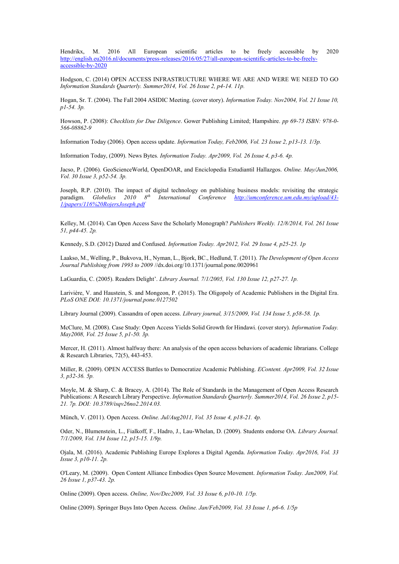Hendrikx, M. 2016 All European scientific articles to be freely accessible by 2020 [http://english.eu2016.nl/documents/press-releases/2016/05/27/all-european-scientific-articles-to-be-freely](http://english.eu2016.nl/documents/press-releases/2016/05/27/all-european-scientific-articles-to-be-freely-accessible-by-2020)[accessible-by-2020](http://english.eu2016.nl/documents/press-releases/2016/05/27/all-european-scientific-articles-to-be-freely-accessible-by-2020)

Hodgson, C. (2014) OPEN ACCESS INFRASTRUCTURE WHERE WE ARE AND WERE WE NEED TO GO *Information Standards Quarterly. Summer2014, Vol. 26 Issue 2, p4-14. 11p.*

Hogan, Sr. T. (2004). The Fall 2004 ASIDIC Meeting. (cover story). *Information Today. Nov2004, Vol. 21 Issue 10, p1-54. 3p.*

Howson, P. (2008): *Checklists for Due Diligence*. Gower Publishing Limited; Hampshire. *pp 69-73 ISBN: 978-0- 566-08862-9*

Information Today (2006). Open access update. *Information Today, Feb2006, Vol. 23 Issue 2, p13-13. 1/3p.*

Information Today, (2009). News Bytes*. Information Today. Apr2009, Vol. 26 Issue 4, p3-6. 4p.*

Jacso, P. (2006). GeoScienceWorld, OpenDOAR, and Enciclopedia Estudiantil Hallazgos. *Online. May/Jun2006, Vol. 30 Issue 3, p52-54. 3p.*

Joseph, R.P. (2010). The impact of digital technology on publishing business models: revisiting the strategic paradigm. *Globelics 2010 8th International Conference [http://umconference.um.edu.my/upload/43-](http://umconference.um.edu.my/upload/43-1/papers/116%20RojersJoseph.pdf) [1/papers/116%20RojersJoseph.pdf](http://umconference.um.edu.my/upload/43-1/papers/116%20RojersJoseph.pdf)*

Kelley, M. (2014). Can Open Access Save the Scholarly Monograph? *Publishers Weekly. 12/8/2014, Vol. 261 Issue 51, p44-45. 2p.*

Kennedy, S.D. (2012) Dazed and Confused. *Information Today. Apr2012, Vol. 29 Issue 4, p25-25. 1p*

Laakso, M., Welling, P., Bukvova, H., Nyman, L., Bjork, BC., Hedlund, T. (2011). *The Development of Open Access Journal Publishing from 1993 to 2009* //dx.doi.org/10.1371/journal.pone.0020961

LaGuardia, C. (2005). Readers Delight'. *Library Journal. 7/1/2005, Vol. 130 Issue 12, p27-27. 1p.* 

Larivière, V. and Haustein, S. and Mongeon, P. (2015). The Oligopoly of Academic Publishers in the Digital Era. *PLoS ONE DOI: 10.1371/journal.pone.0127502*

Library Journal (2009). Cassandra of open access. *Library journal, 3/15/2009, Vol. 134 Issue 5, p58-58. 1p.* 

McClure, M. (2008). Case Study: Open Access Yields Solid Growth for Hindawi. (cover story). *Information Today. May2008, Vol. 25 Issue 5, p1-50. 3p.*

Mercer, H. (2011). Almost halfway there: An analysis of the open access behaviors of academic librarians. College & Research Libraries, 72(5), 443-453.

Miller, R. (2009). OPEN ACCESS Battles to Democratize Academic Publishing. *EContent. Apr2009, Vol. 32 Issue 3, p32-36. 5p.*

Moyle, M. & Sharp, C. & Bracey, A. (2014). The Role of Standards in the Management of Open Access Research Publications: A Research Library Perspective. *Information Standards Quarterly. Summer2014, Vol. 26 Issue 2, p15- 21. 7p. DOI: 10.3789/isqv26no2.2014.03.*

Münch, V. (2011). Open Access. *Online. Jul/Aug2011, Vol. 35 Issue 4, p18-21. 4p.*

Oder, N., Blumenstein, L., Fialkoff, F., Hadro, J., Lau-Whelan, D. (2009). Students endorse OA. *Library Journal. 7/1/2009, Vol. 134 Issue 12, p15-15. 1/9p.*

Ojala, M. (2016). Academic Publishing Europe Explores a Digital Agenda. *Information Today. Apr2016, Vol. 33 Issue 3, p10-11. 2p.*

O'Leary, M. (2009). Open Content Alliance Embodies Open Source Movement. *Information Today. Jan2009, Vol. 26 Issue 1, p37-43. 2p.*

Online (2009). Open access. *Online, Nov/Dec2009, Vol. 33 Issue 6, p10-10. 1/5p.*

Online (2009). Springer Buys Into Open Access*. Online. Jan/Feb2009, Vol. 33 Issue 1, p6-6. 1/5p*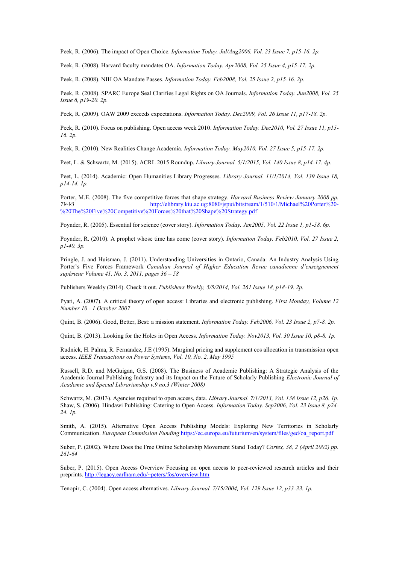Peek, R. (2006). The impact of Open Choice. *Information Today. Jul/Aug2006, Vol. 23 Issue 7, p15-16. 2p.*

Peek, R. (2008). Harvard faculty mandates OA. *Information Today. Apr2008, Vol. 25 Issue 4, p15-17. 2p.*

Peek, R. (2008). NIH OA Mandate Passes*. Information Today. Feb2008, Vol. 25 Issue 2, p15-16. 2p.*

Peek, R. (2008). SPARC Europe Seal Clarifies Legal Rights on OA Journals. *Information Today. Jun2008, Vol. 25 Issue 6, p19-20. 2p.*

Peek, R. (2009). OAW 2009 exceeds expectations. *Information Today. Dec2009, Vol. 26 Issue 11, p17-18. 2p.*

Peek, R. (2010). Focus on publishing. Open access week 2010. *Information Today. Dec2010, Vol. 27 Issue 11, p15- 16. 2p.*

Peek, R. (2010). New Realities Change Academia. *Information Today. May2010, Vol. 27 Issue 5, p15-17. 2p.* 

Peet, L. & Schwartz, M. (2015). ACRL 2015 Roundup. *Library Journal. 5/1/2015, Vol. 140 Issue 8, p14-17. 4p.*

Peet, L. (2014). Academic: Open Humanities Library Progresses. *Library Journal. 11/1/2014, Vol. 139 Issue 18, p14-14. 1p.*

Porter, M.E. (2008). The five competitive forces that shape strategy*. Harvard Business Review January 2008 pp. 79-93* [http://elibrary.kiu.ac.ug:8080/jspui/bitstream/1/510/1/Michael%20Porter%20-](http://elibrary.kiu.ac.ug:8080/jspui/bitstream/1/510/1/Michael%20Porter%20-%20The%20Five%20Competitive%20Forces%20that%20Shape%20Strategy.pdf) [%20The%20Five%20Competitive%20Forces%20that%20Shape%20Strategy.pdf](http://elibrary.kiu.ac.ug:8080/jspui/bitstream/1/510/1/Michael%20Porter%20-%20The%20Five%20Competitive%20Forces%20that%20Shape%20Strategy.pdf)

Poynder, R. (2005). Essential for science (cover story). *Information Today. Jan2005, Vol. 22 Issue 1, p1-58. 6p.*

Poynder, R. (2010). A prophet whose time has come (cover story). *Information Today. Feb2010, Vol. 27 Issue 2, p1-40. 3p.*

Pringle, J. and Huisman, J. (2011). Understanding Universities in Ontario, Canada: An Industry Analysis Using Porter's Five Forces Framework *Canadian Journal of Higher Education Revue canadienne d'enseignement supérieur Volume 41, No. 3, 2011, pages 36 – 58*

Publishers Weekly (2014). Check it out. *Publishers Weekly, 5/5/2014, Vol. 261 Issue 18, p18-19. 2p.*

Pyati, A. (2007). A critical theory of open access: Libraries and electronic publishing. *First Monday, Volume 12 Number 10 - 1 October 2007*

Quint, B. (2006). Good, Better, Best: a mission statement. *Information Today. Feb2006, Vol. 23 Issue 2, p7-8. 2p.*

Quint, B. (2013). Looking for the Holes in Open Access. *Information Today. Nov2013, Vol. 30 Issue 10, p8-8. 1p.* 

Rudnick, H. Palma, R. Fernandez, J.E (1995). Marginal pricing and supplement cos allocation in transmission open access. *IEEE Transactions on Power Systems, Vol. 10, No. 2, May 1995*

Russell, R.D. and McGuigan, G.S. (2008). The Business of Academic Publishing: A Strategic Analysis of the Academic Journal Publishing Industry and its Impact on the Future of Scholarly Publishing *Electronic Journal of Academic and Special Librarianship v.9 no.3 (Winter 2008)*

Schwartz, M. (2013). Agencies required to open access, data. *Library Journal. 7/1/2013, Vol. 138 Issue 12, p26. 1p.* Shaw, S. (2006). Hindawi Publishing: Catering to Open Access. *Information Today. Sep2006, Vol. 23 Issue 8, p24- 24. 1p.* 

Smith, A. (2015). Alternative Open Access Publishing Models: Exploring New Territories in Scholarly Communication. *European Commission Funding* [https://ec.europa.eu/futurium/en/system/files/ged/oa\\_report.pdf](https://ec.europa.eu/futurium/en/system/files/ged/oa_report.pdf)

Suber, P. (2002). Where Does the Free Online Scholarship Movement Stand Today? *Cortex, 38, 2 (April 2002) pp. 261-64*

Suber, P. (2015). Open Access Overview Focusing on open access to peer-reviewed research articles and their preprints[. http://legacy.earlham.edu/~peters/fos/overview.htm](http://legacy.earlham.edu/~peters/fos/overview.htm)

Tenopir, C. (2004). Open access alternatives. *Library Journal. 7/15/2004, Vol. 129 Issue 12, p33-33. 1p.*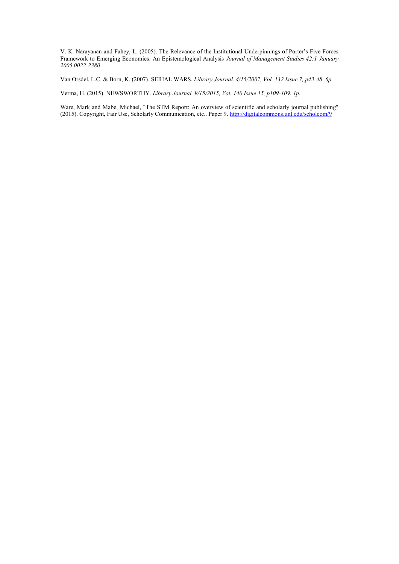V. K. Narayanan and Fahey, L. (2005). The Relevance of the Institutional Underpinnings of Porter's Five Forces Framework to Emerging Economies: An Epistemological Analysis *Journal of Management Studies 42:1 January 2005 0022-2380*

Van Orsdel, L.C. & Born, K. (2007). SERIAL WARS. *Library Journal. 4/15/2007, Vol. 132 Issue 7, p43-48. 6p.* 

Verma, H. (2015). NEWSWORTHY. *Library Journal. 9/15/2015, Vol. 140 Issue 15, p109-109. 1p.*

Ware, Mark and Mabe, Michael, "The STM Report: An overview of scientific and scholarly journal publishing" (2015). Copyright, Fair Use, Scholarly Communication, etc.. Paper 9.<http://digitalcommons.unl.edu/scholcom/9>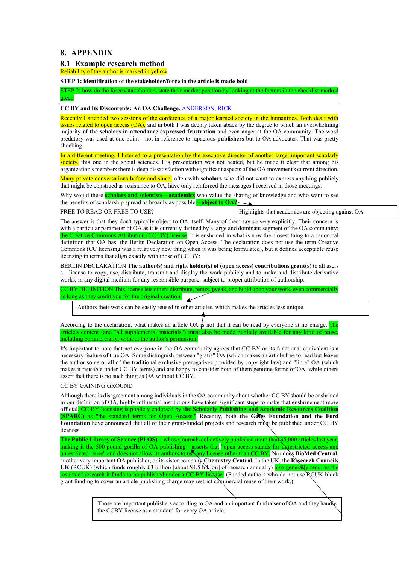## **8. APPENDIX**

### **8.1 Example research method**

Reliability of the author is marked in yellow

**STEP 1: identification of the stakeholder/force in the article is made bold**

STEP 2: how do the forces/stakeholders state their market position by looking at the factors in the checklist marked green

#### **CC BY and Its Discontents: An OA Challenge.** [ANDERSON, RICK](javascript:__doLinkPostBack()

Recently I attended two sessions of the conference of a major learned society in the humanities. Both dealt with issues related to open access (OA), and in both I was deeply taken aback by the degree to which an overwhelming majority **of the scholars in attendance expressed frustration** and even anger at the OA community. The word predatory was used at one point—not in reference to rapacious **publishers** but to OA advocates. That was pretty shocking.

In a different meeting, I listened to a presentation by the executive director of another large, important scholarly society, this one in the social sciences. His presentation was not heated, but he made it clear that among his organization's members there is deep dissatisfaction with significant aspects of the OA movement's current direction.

Many private conversations before and since, often with **scholars** who did not want to express anything publicly that might be construed as resistance to OA, have only reinforced the messages I received in those meetings.

Why would these **scholars and scientists—academics** who value the sharing of knowledge and who want to see the benefits of scholarship spread as broadly as possible—**object to OA?**

FREE TO READ OR FREE TO USE?

Highlights that academics are objecting against OA

The answer is that they don't typically object to OA itself. Many of them say so very explicitly. Their concern is with a particular parameter of OA as it is currently defined by a large and dominant segment of the OA community: the Creative Commons Attribution (CC BY) license. It is enshrined in what is now the closest thing to a canonical definition that OA has: the Berlin Declaration on Open Access. The declaration does not use the term Creative Commons (CC licensing was a relatively new thing when it was being formulated), but it defines acceptable reuse licensing in terms that align exactly with those of CC BY:

BERLIN DECLARATION **The author(s) and right holder(s) of (open access) contributions grant**(s) to all users a…license to copy, use, distribute, transmit and display the work publicly and to make and distribute derivative works, in any digital medium for any responsible purpose, subject to proper attribution of authorship.

CC BY DEFINITION This license lets others distribute, remix, tweak, and build upon your work, even commercially as long as they credit you for the original creation.

Authors their work can be easily reused in other articles, which makes the articles less unique

According to the declaration, what makes an article OA  $\dot{\mathbf{s}}$  not that it can be read by everyone at no charge. The article's content (and "all supplemental materials") must also be made publicly available for any kind of reuse, including commercially, without the author's permission.

It's important to note that not everyone in the OA community agrees that CC BY or its functional equivalent is a necessary feature of true OA. Some distinguish between "gratis" OA (which makes an article free to read but leaves the author some or all of the traditional exclusive prerogatives provided by copyright law) and "libre" OA (which makes it reusable under CC BY terms) and are happy to consider both of them genuine forms of OA, while others assert that there is no such thing as OA without CC BY.

#### CC BY GAINING GROUND

Although there is disagreement among individuals in the OA community about whether CC BY should be enshrined in our definition of OA, highly influential institutions have taken significant steps to make that enshrinement more official. CC BY licensing is publicly endorsed by **the Scholarly Publishing and Academic Resources Coalition (SPARC)** as "the standard terms for Open Access." Recently, both **the Gates Foundation and the Ford**  Foundation have announced that all of their grant-funded projects and research must be published under CC BY licenses.

**The Public Library of Science (PLOS)—**whose journals collectively published more than 35,000 articles last year, making it the 500-pound gorilla of OA publishing—asserts that "open access stands for unrestricted access and unrestricted reuse" and does not allow its authors to use any license other than CC BY. Nor does **BioMed Central**, another very important OA publisher, or its sister company **Chemistry Central.** In the UK, the **Research Councils UK** (RCUK) (which funds roughly £3 billion [about \$4.5 billion] of research annually) also generally requires the results of research it funds to be published under a CC BY license. (Funded authors who do not use RCUK block grant funding to cover an article publishing charge may restrict commercial reuse of their work.)

> Those are important publishers according to OA and an important fundraiser of OA and they handle the CCBY license as a standard for every OA article.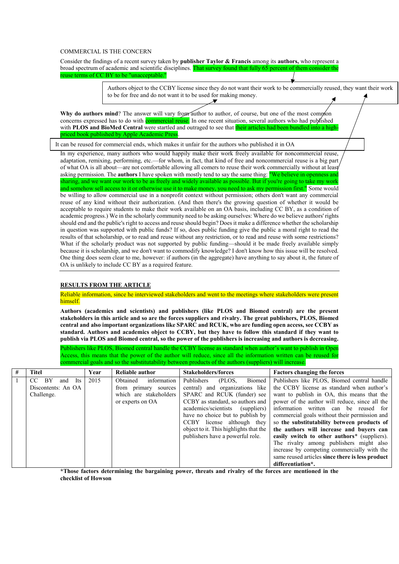#### COMMERCIAL IS THE CONCERN

Consider the findings of a recent survey taken by **publisher Taylor & Francis** among its **authors,** who represent a broad spectrum of academic and scientific disciplines. That survey found that fully 65 percent of them consider the reuse terms of CC BY to be "unacceptable."

> Authors object to the CCBY license since they do not want their work to be commercially reused, they want their work to be for free and do not want it to be used for making money.

Why do authors mind? The answer will vary from author to author, of course, but one of the most common concerns expressed has to do with commercial reuse. In one recent situation, several authors who had published with **PLOS and BioMed Central** were startled and outraged to see that **their articles had been bundled into a high**book published by Apple Academic Pres.

It can be reused for commercial ends, which makes it unfair for the authors who published it in OA

In my experience, many authors who would happily make their work freely available for noncommercial reuse, adaptation, remixing, performing, etc.—for whom, in fact, that kind of free and noncommercial reuse is a big part of what OA is all about—are not comfortable allowing all comers to reuse their work commercially without at least asking permission. The **authors** I have spoken with mostly tend to say the same thing: **"We believe in openness and** sharing, and we want our work to be as freely and widely available as possible. But if you're going to take my work and somehow sell access to it or otherwise use it to make money, you need to ask my permission first." Some would be willing to allow commercial use in a nonprofit context without permission; others don't want any commercial reuse of any kind without their authorization. (And then there's the growing question of whether it would be acceptable to require students to make their work available on an OA basis, including CC BY, as a condition of academic progress.) We in the scholarly community need to be asking ourselves: Where do we believe authors' rights should end and the public's right to access and reuse should begin? Does it make a difference whether the scholarship in question was supported with public funds? If so, does public funding give the public a moral right to read the results of that scholarship, or to read and reuse without any restriction, or to read and reuse with some restrictions? What if the scholarly product was not supported by public funding—should it be made freely available simply because it is scholarship, and we don't want to commodify knowledge? I don't know how this issue will be resolved. One thing does seem clear to me, however: if authors (in the aggregate) have anything to say about it, the future of OA is unlikely to include CC BY as a required feature.

#### **RESULTS FROM THE ARTICLE**

#### Reliable information, since he interviewed stakeholders and went to the meetings where stakeholders were present himself.

**Authors (academics and scientists) and publishers (like PLOS and Biomed central) are the present stakeholders in this article and so are the forces suppliers and rivalry. The great publishers, PLOS, Biomed central and also important organizations like SPARC and RCUK, who are funding open access, see CCBY as standard. Authors and academics object to CCBY, but they have to follow this standard if they want to publish via PLOS and Biomed central, so the power of the publishers is increasing and authors is decreasing.**

Publishers like PLOS, Biomed central handle the CCBY license as standard when author's want to publish in Open Access, this means that the power of the author will reduce, since all the information written can be reused for commercial goals and so the substitutability between products of the authors (suppliers) will increase.

| # | <b>Titel</b>                         | Year | Reliable author         | Stakeholders/forces                    | <b>Factors changing the forces</b>                       |
|---|--------------------------------------|------|-------------------------|----------------------------------------|----------------------------------------------------------|
|   | <b>BY</b><br>CC<br><b>Its</b><br>and | 2015 | Obtained<br>information | Publishers<br>(PLOS.<br>Biomed         | Publishers like PLOS, Biomed central handle              |
|   | Discontents: An OA                   |      | from primary sources    | central) and organizations like        | the CCBY license as standard when author's               |
|   | Challenge.                           |      | which are stakeholders  | SPARC and RCUK (funder) see            | want to publish in OA, this means that the               |
|   |                                      |      | or experts on OA        | CCBY as standard, so authors and       | power of the author will reduce, since all the           |
|   |                                      |      |                         | academics/scientists (suppliers)       | information written can be reused for                    |
|   |                                      |      |                         | have no choice but to publish by       | commercial goals without their permission and            |
|   |                                      |      |                         | CCBY license although they             | so the substitutability between products of              |
|   |                                      |      |                         | object to it. This highlights that the | the authors will increase and buvers can                 |
|   |                                      |      |                         | publishers have a powerful role.       | easily switch to other authors <sup>*</sup> (suppliers). |
|   |                                      |      |                         |                                        | The rivalry among publishers might also                  |
|   |                                      |      |                         |                                        | increase by competing commercially with the              |
|   |                                      |      |                         |                                        | same reused articles since there is less product         |
|   |                                      |      |                         |                                        | differentiation*.                                        |

**\*Those factors determining the bargaining power, threats and rivalry of the forces are mentioned in the checklist of Howson**